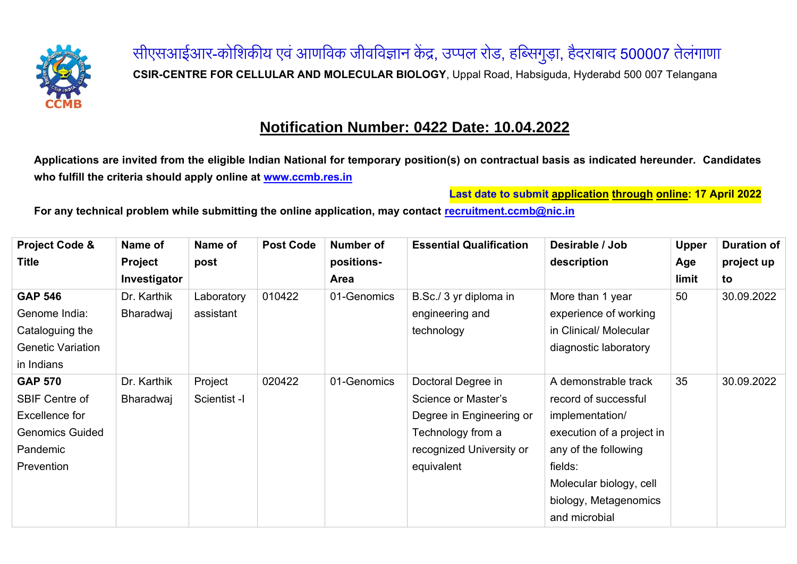

सीएसआईआर-कोशिकीय एवं आणविक जीवविज्ञान केंद्र, उप्पल रोड, हब्सिगुड़ा, हैदराबाद <mark>500007</mark> तेलंगाणा **CSIR-CENTRE FOR CELLULAR AND MOLECULAR BIOLOGY**, Uppal Road, Habsiguda, Hyderabd 500 007 Telangana

## **Notification Number: 0422 Date: 10.04.2022**

**Applications are invited from the eligible Indian National for temporary position(s) on contractual basis as indicated hereunder. Candidates who fulfill the criteria should apply online at [www.ccmb.res.in](http://www.ccmb.res.in/)**

**Last date to submit application through online: 17 April 2022**

**For any technical problem while submitting the online application, may contact [recruitment.ccmb@nic.in](mailto:recruitment.ccmb@nic.in)**

| <b>Project Code &amp;</b> | Name of        | Name of      | <b>Post Code</b> | <b>Number of</b> | <b>Essential Qualification</b> | Desirable / Job           | <b>Upper</b> | <b>Duration of</b> |
|---------------------------|----------------|--------------|------------------|------------------|--------------------------------|---------------------------|--------------|--------------------|
| <b>Title</b>              | <b>Project</b> | post         |                  | positions-       |                                | description               | Age          | project up         |
|                           | Investigator   |              |                  | Area             |                                |                           | limit        | to                 |
| <b>GAP 546</b>            | Dr. Karthik    | Laboratory   | 010422           | 01-Genomics      | B.Sc./ 3 yr diploma in         | More than 1 year          | 50           | 30.09.2022         |
| Genome India:             | Bharadwaj      | assistant    |                  |                  | engineering and                | experience of working     |              |                    |
| Cataloguing the           |                |              |                  |                  | technology                     | in Clinical/ Molecular    |              |                    |
| <b>Genetic Variation</b>  |                |              |                  |                  |                                | diagnostic laboratory     |              |                    |
| in Indians                |                |              |                  |                  |                                |                           |              |                    |
| <b>GAP 570</b>            | Dr. Karthik    | Project      | 020422           | 01-Genomics      | Doctoral Degree in             | A demonstrable track      | 35           | 30.09.2022         |
| <b>SBIF Centre of</b>     | Bharadwaj      | Scientist -I |                  |                  | Science or Master's            | record of successful      |              |                    |
| Excellence for            |                |              |                  |                  | Degree in Engineering or       | implementation/           |              |                    |
| <b>Genomics Guided</b>    |                |              |                  |                  | Technology from a              | execution of a project in |              |                    |
| Pandemic                  |                |              |                  |                  | recognized University or       | any of the following      |              |                    |
| Prevention                |                |              |                  |                  | equivalent                     | fields:                   |              |                    |
|                           |                |              |                  |                  |                                | Molecular biology, cell   |              |                    |
|                           |                |              |                  |                  |                                | biology, Metagenomics     |              |                    |
|                           |                |              |                  |                  |                                | and microbial             |              |                    |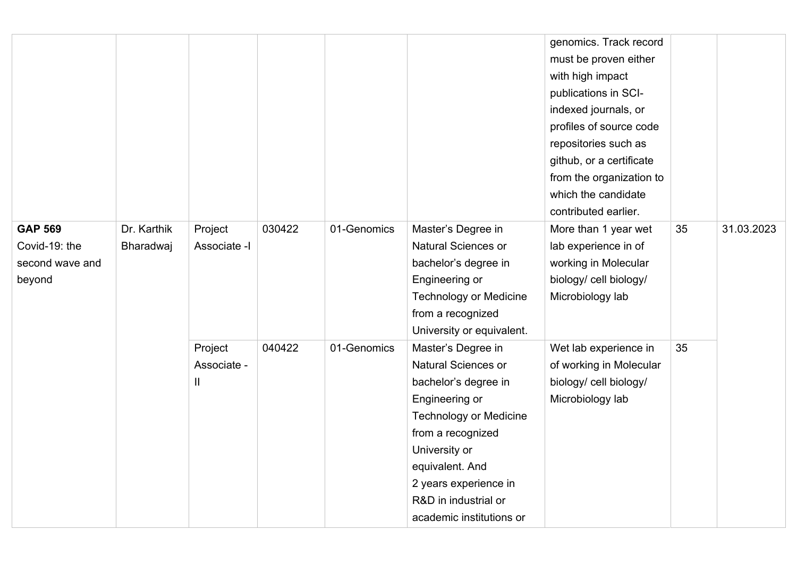|                                                              |                          |                             |        |             |                                                                                                                                                                                                                                                            | genomics. Track record<br>must be proven either<br>with high impact<br>publications in SCI-<br>indexed journals, or<br>profiles of source code<br>repositories such as<br>github, or a certificate<br>from the organization to<br>which the candidate<br>contributed earlier. |    |            |
|--------------------------------------------------------------|--------------------------|-----------------------------|--------|-------------|------------------------------------------------------------------------------------------------------------------------------------------------------------------------------------------------------------------------------------------------------------|-------------------------------------------------------------------------------------------------------------------------------------------------------------------------------------------------------------------------------------------------------------------------------|----|------------|
| <b>GAP 569</b><br>Covid-19: the<br>second wave and<br>beyond | Dr. Karthik<br>Bharadwaj | Project<br>Associate -I     | 030422 | 01-Genomics | Master's Degree in<br><b>Natural Sciences or</b><br>bachelor's degree in<br>Engineering or<br><b>Technology or Medicine</b><br>from a recognized<br>University or equivalent.                                                                              | More than 1 year wet<br>lab experience in of<br>working in Molecular<br>biology/ cell biology/<br>Microbiology lab                                                                                                                                                            | 35 | 31.03.2023 |
|                                                              |                          | Project<br>Associate -<br>Ш | 040422 | 01-Genomics | Master's Degree in<br>Natural Sciences or<br>bachelor's degree in<br>Engineering or<br><b>Technology or Medicine</b><br>from a recognized<br>University or<br>equivalent. And<br>2 years experience in<br>R&D in industrial or<br>academic institutions or | Wet lab experience in<br>of working in Molecular<br>biology/ cell biology/<br>Microbiology lab                                                                                                                                                                                | 35 |            |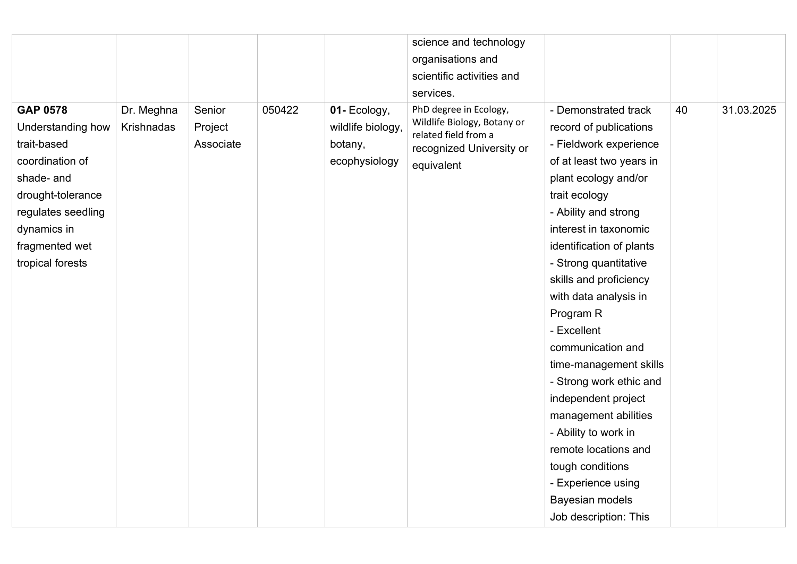|                    |            |           |        |                   | science and technology                              |                          |    |            |
|--------------------|------------|-----------|--------|-------------------|-----------------------------------------------------|--------------------------|----|------------|
|                    |            |           |        |                   | organisations and                                   |                          |    |            |
|                    |            |           |        |                   | scientific activities and                           |                          |    |            |
|                    |            |           |        |                   | services.                                           |                          |    |            |
| <b>GAP 0578</b>    | Dr. Meghna | Senior    | 050422 | 01- Ecology,      | PhD degree in Ecology,                              | - Demonstrated track     | 40 | 31.03.2025 |
| Understanding how  | Krishnadas | Project   |        | wildlife biology, | Wildlife Biology, Botany or<br>related field from a | record of publications   |    |            |
| trait-based        |            | Associate |        | botany,           | recognized University or                            | - Fieldwork experience   |    |            |
| coordination of    |            |           |        | ecophysiology     | equivalent                                          | of at least two years in |    |            |
| shade- and         |            |           |        |                   |                                                     | plant ecology and/or     |    |            |
| drought-tolerance  |            |           |        |                   |                                                     | trait ecology            |    |            |
| regulates seedling |            |           |        |                   |                                                     | - Ability and strong     |    |            |
| dynamics in        |            |           |        |                   |                                                     | interest in taxonomic    |    |            |
| fragmented wet     |            |           |        |                   |                                                     | identification of plants |    |            |
| tropical forests   |            |           |        |                   |                                                     | - Strong quantitative    |    |            |
|                    |            |           |        |                   |                                                     | skills and proficiency   |    |            |
|                    |            |           |        |                   |                                                     | with data analysis in    |    |            |
|                    |            |           |        |                   |                                                     | Program R                |    |            |
|                    |            |           |        |                   |                                                     | - Excellent              |    |            |
|                    |            |           |        |                   |                                                     | communication and        |    |            |
|                    |            |           |        |                   |                                                     | time-management skills   |    |            |
|                    |            |           |        |                   |                                                     | - Strong work ethic and  |    |            |
|                    |            |           |        |                   |                                                     | independent project      |    |            |
|                    |            |           |        |                   |                                                     | management abilities     |    |            |
|                    |            |           |        |                   |                                                     | - Ability to work in     |    |            |
|                    |            |           |        |                   |                                                     | remote locations and     |    |            |
|                    |            |           |        |                   |                                                     | tough conditions         |    |            |
|                    |            |           |        |                   |                                                     | - Experience using       |    |            |
|                    |            |           |        |                   |                                                     | Bayesian models          |    |            |
|                    |            |           |        |                   |                                                     | Job description: This    |    |            |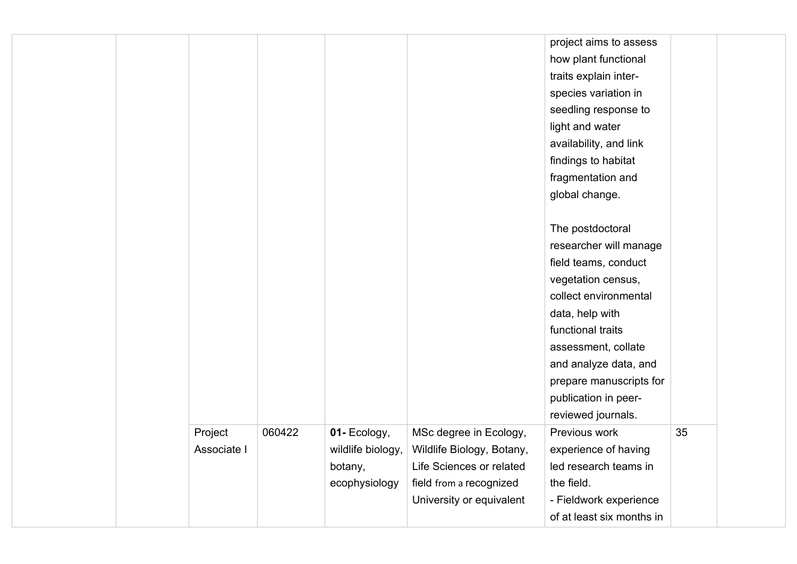|  |             |        |                   |                           | project aims to assess    |    |  |
|--|-------------|--------|-------------------|---------------------------|---------------------------|----|--|
|  |             |        |                   |                           | how plant functional      |    |  |
|  |             |        |                   |                           | traits explain inter-     |    |  |
|  |             |        |                   |                           | species variation in      |    |  |
|  |             |        |                   |                           | seedling response to      |    |  |
|  |             |        |                   |                           | light and water           |    |  |
|  |             |        |                   |                           | availability, and link    |    |  |
|  |             |        |                   |                           | findings to habitat       |    |  |
|  |             |        |                   |                           | fragmentation and         |    |  |
|  |             |        |                   |                           | global change.            |    |  |
|  |             |        |                   |                           |                           |    |  |
|  |             |        |                   |                           | The postdoctoral          |    |  |
|  |             |        |                   |                           | researcher will manage    |    |  |
|  |             |        |                   |                           | field teams, conduct      |    |  |
|  |             |        |                   |                           | vegetation census,        |    |  |
|  |             |        |                   |                           | collect environmental     |    |  |
|  |             |        |                   |                           | data, help with           |    |  |
|  |             |        |                   |                           | functional traits         |    |  |
|  |             |        |                   |                           | assessment, collate       |    |  |
|  |             |        |                   |                           | and analyze data, and     |    |  |
|  |             |        |                   |                           | prepare manuscripts for   |    |  |
|  |             |        |                   |                           | publication in peer-      |    |  |
|  |             |        |                   |                           | reviewed journals.        |    |  |
|  | Project     | 060422 | 01- Ecology,      | MSc degree in Ecology,    | Previous work             | 35 |  |
|  | Associate I |        | wildlife biology, | Wildlife Biology, Botany, | experience of having      |    |  |
|  |             |        | botany,           | Life Sciences or related  | led research teams in     |    |  |
|  |             |        | ecophysiology     | field from a recognized   | the field.                |    |  |
|  |             |        |                   | University or equivalent  | - Fieldwork experience    |    |  |
|  |             |        |                   |                           | of at least six months in |    |  |
|  |             |        |                   |                           |                           |    |  |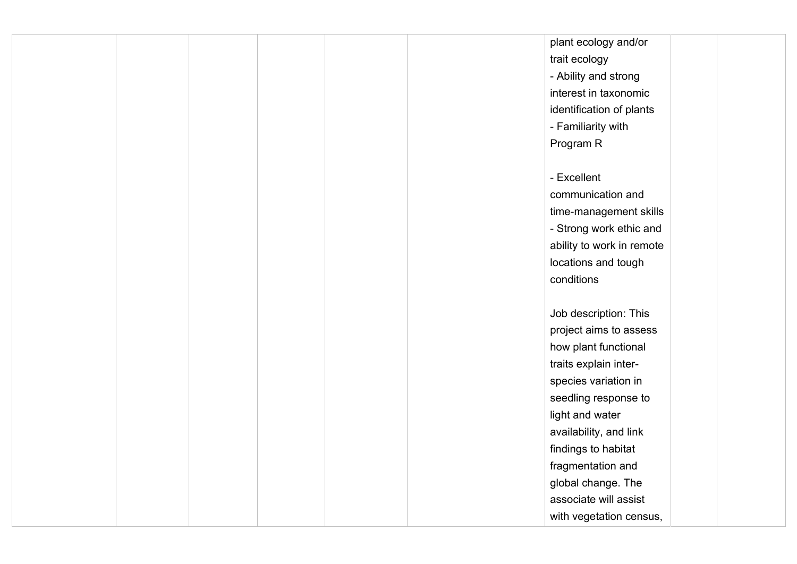|  |  |  | plant ecology and/or      |  |
|--|--|--|---------------------------|--|
|  |  |  | trait ecology             |  |
|  |  |  | - Ability and strong      |  |
|  |  |  | interest in taxonomic     |  |
|  |  |  | identification of plants  |  |
|  |  |  | - Familiarity with        |  |
|  |  |  | Program R                 |  |
|  |  |  |                           |  |
|  |  |  | - Excellent               |  |
|  |  |  | communication and         |  |
|  |  |  | time-management skills    |  |
|  |  |  | - Strong work ethic and   |  |
|  |  |  | ability to work in remote |  |
|  |  |  | locations and tough       |  |
|  |  |  | conditions                |  |
|  |  |  |                           |  |
|  |  |  | Job description: This     |  |
|  |  |  | project aims to assess    |  |
|  |  |  | how plant functional      |  |
|  |  |  | traits explain inter-     |  |
|  |  |  | species variation in      |  |
|  |  |  | seedling response to      |  |
|  |  |  | light and water           |  |
|  |  |  | availability, and link    |  |
|  |  |  | findings to habitat       |  |
|  |  |  | fragmentation and         |  |
|  |  |  | global change. The        |  |
|  |  |  | associate will assist     |  |
|  |  |  | with vegetation census,   |  |
|  |  |  |                           |  |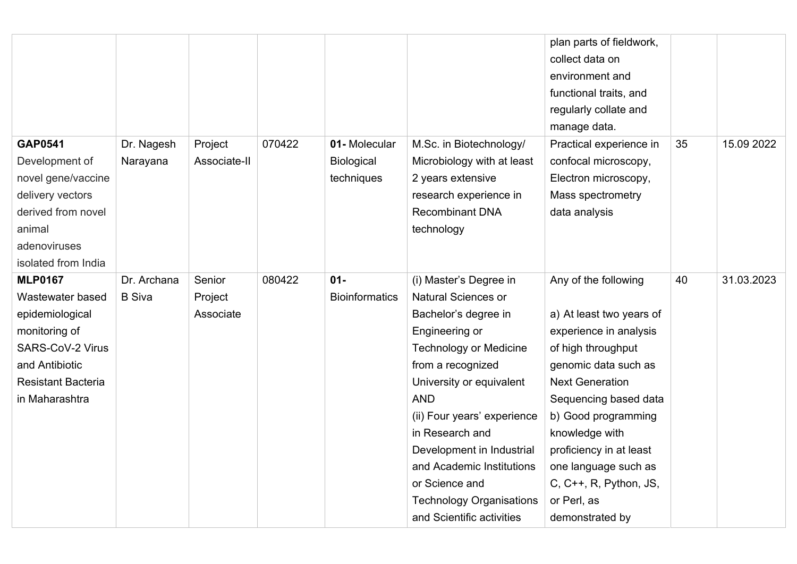|                                                                                                                                                             |                              |                                |        |                                                 |                                                                                                                                                                                                                                                                                                                                                                                              | plan parts of fieldwork,<br>collect data on<br>environment and<br>functional traits, and<br>regularly collate and<br>manage data.                                                                                                                                                                                                   |    |            |
|-------------------------------------------------------------------------------------------------------------------------------------------------------------|------------------------------|--------------------------------|--------|-------------------------------------------------|----------------------------------------------------------------------------------------------------------------------------------------------------------------------------------------------------------------------------------------------------------------------------------------------------------------------------------------------------------------------------------------------|-------------------------------------------------------------------------------------------------------------------------------------------------------------------------------------------------------------------------------------------------------------------------------------------------------------------------------------|----|------------|
| <b>GAP0541</b><br>Development of<br>novel gene/vaccine<br>delivery vectors<br>derived from novel<br>animal<br>adenoviruses<br>isolated from India           | Dr. Nagesh<br>Narayana       | Project<br>Associate-II        | 070422 | 01-Molecular<br><b>Biological</b><br>techniques | M.Sc. in Biotechnology/<br>Microbiology with at least<br>2 years extensive<br>research experience in<br><b>Recombinant DNA</b><br>technology                                                                                                                                                                                                                                                 | Practical experience in<br>confocal microscopy,<br>Electron microscopy,<br>Mass spectrometry<br>data analysis                                                                                                                                                                                                                       | 35 | 15.09 2022 |
| <b>MLP0167</b><br>Wastewater based<br>epidemiological<br>monitoring of<br>SARS-CoV-2 Virus<br>and Antibiotic<br><b>Resistant Bacteria</b><br>in Maharashtra | Dr. Archana<br><b>B</b> Siva | Senior<br>Project<br>Associate | 080422 | $01 -$<br><b>Bioinformatics</b>                 | (i) Master's Degree in<br><b>Natural Sciences or</b><br>Bachelor's degree in<br>Engineering or<br><b>Technology or Medicine</b><br>from a recognized<br>University or equivalent<br><b>AND</b><br>(ii) Four years' experience<br>in Research and<br>Development in Industrial<br>and Academic Institutions<br>or Science and<br><b>Technology Organisations</b><br>and Scientific activities | Any of the following<br>a) At least two years of<br>experience in analysis<br>of high throughput<br>genomic data such as<br><b>Next Generation</b><br>Sequencing based data<br>b) Good programming<br>knowledge with<br>proficiency in at least<br>one language such as<br>C, C++, R, Python, JS,<br>or Perl, as<br>demonstrated by | 40 | 31.03.2023 |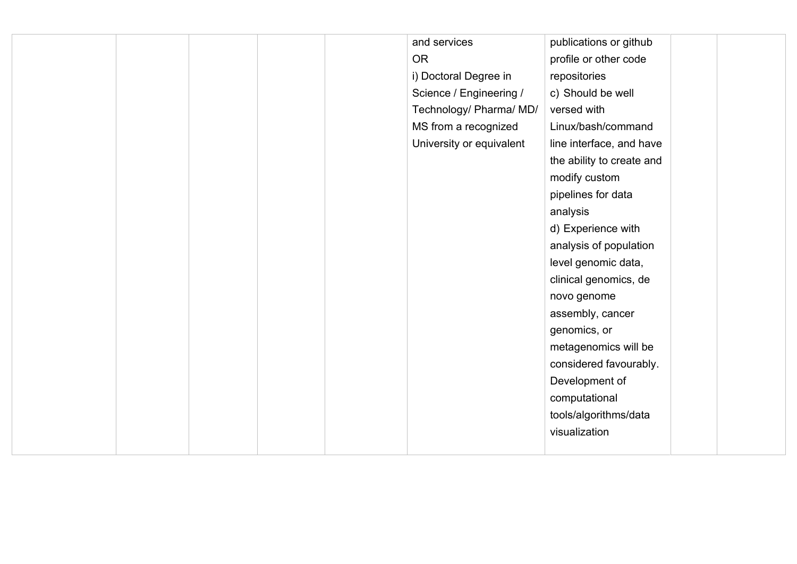|  |  | and services             | publications or github    |  |
|--|--|--------------------------|---------------------------|--|
|  |  | <b>OR</b>                | profile or other code     |  |
|  |  | i) Doctoral Degree in    | repositories              |  |
|  |  | Science / Engineering /  | c) Should be well         |  |
|  |  | Technology/ Pharma/ MD/  | versed with               |  |
|  |  | MS from a recognized     | Linux/bash/command        |  |
|  |  | University or equivalent | line interface, and have  |  |
|  |  |                          | the ability to create and |  |
|  |  |                          | modify custom             |  |
|  |  |                          | pipelines for data        |  |
|  |  |                          | analysis                  |  |
|  |  |                          | d) Experience with        |  |
|  |  |                          | analysis of population    |  |
|  |  |                          | level genomic data,       |  |
|  |  |                          | clinical genomics, de     |  |
|  |  |                          | novo genome               |  |
|  |  |                          | assembly, cancer          |  |
|  |  |                          | genomics, or              |  |
|  |  |                          | metagenomics will be      |  |
|  |  |                          | considered favourably.    |  |
|  |  |                          | Development of            |  |
|  |  |                          | computational             |  |
|  |  |                          | tools/algorithms/data     |  |
|  |  |                          | visualization             |  |
|  |  |                          |                           |  |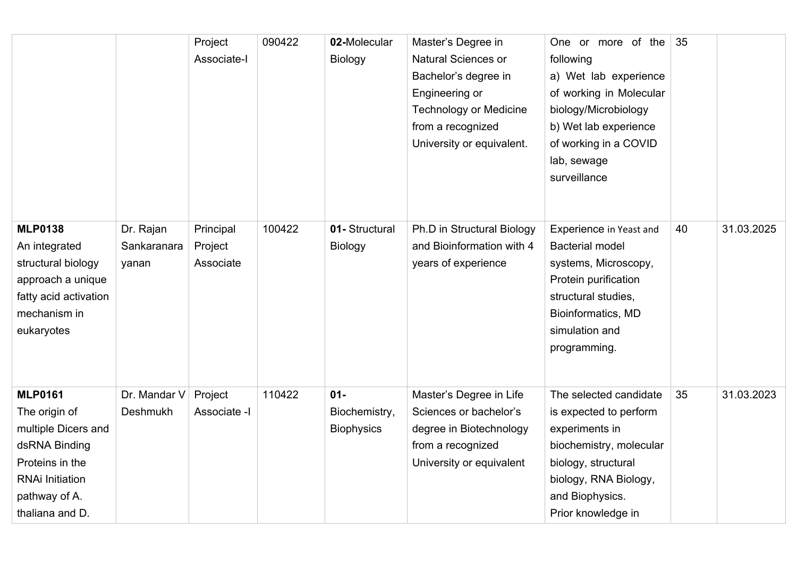|                                                                                                                                                          |                                   | Project<br>Associate-I            | 090422 | 02-Molecular<br><b>Biology</b>               | Master's Degree in<br>Natural Sciences or<br>Bachelor's degree in<br>Engineering or<br><b>Technology or Medicine</b><br>from a recognized<br>University or equivalent. | One or more of the<br>following<br>a) Wet lab experience<br>of working in Molecular<br>biology/Microbiology<br>b) Wet lab experience<br>of working in a COVID<br>lab, sewage<br>surveillance | 35 |            |
|----------------------------------------------------------------------------------------------------------------------------------------------------------|-----------------------------------|-----------------------------------|--------|----------------------------------------------|------------------------------------------------------------------------------------------------------------------------------------------------------------------------|----------------------------------------------------------------------------------------------------------------------------------------------------------------------------------------------|----|------------|
| <b>MLP0138</b><br>An integrated<br>structural biology<br>approach a unique<br>fatty acid activation<br>mechanism in<br>eukaryotes                        | Dr. Rajan<br>Sankaranara<br>yanan | Principal<br>Project<br>Associate | 100422 | 01- Structural<br><b>Biology</b>             | Ph.D in Structural Biology<br>and Bioinformation with 4<br>years of experience                                                                                         | Experience in Yeast and<br><b>Bacterial model</b><br>systems, Microscopy,<br>Protein purification<br>structural studies,<br>Bioinformatics, MD<br>simulation and<br>programming.             | 40 | 31.03.2025 |
| <b>MLP0161</b><br>The origin of<br>multiple Dicers and<br>dsRNA Binding<br>Proteins in the<br><b>RNAi Initiation</b><br>pathway of A.<br>thaliana and D. | Dr. Mandar V<br>Deshmukh          | Project<br>Associate -I           | 110422 | $01 -$<br>Biochemistry,<br><b>Biophysics</b> | Master's Degree in Life<br>Sciences or bachelor's<br>degree in Biotechnology<br>from a recognized<br>University or equivalent                                          | The selected candidate<br>is expected to perform<br>experiments in<br>biochemistry, molecular<br>biology, structural<br>biology, RNA Biology,<br>and Biophysics.<br>Prior knowledge in       | 35 | 31.03.2023 |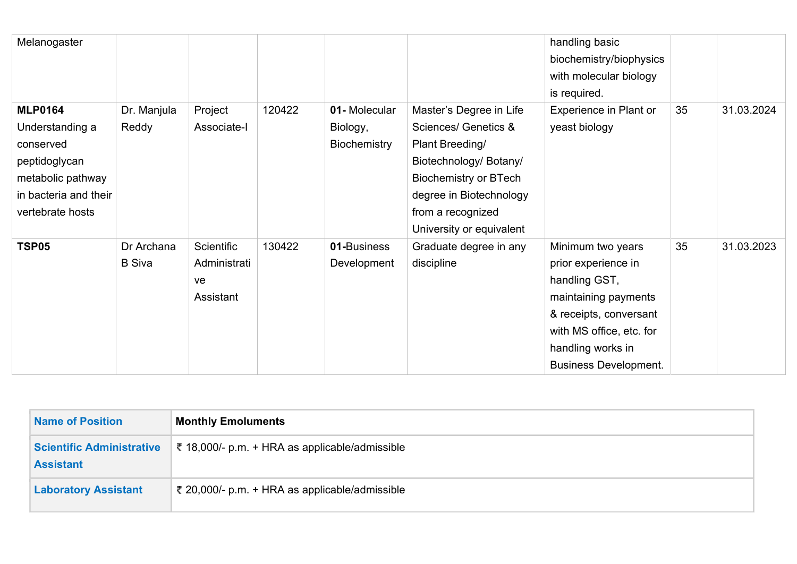| Melanogaster          |               |                   |        |              |                                 | handling basic<br>biochemistry/biophysics<br>with molecular biology |    |            |
|-----------------------|---------------|-------------------|--------|--------------|---------------------------------|---------------------------------------------------------------------|----|------------|
|                       |               |                   |        |              |                                 | is required.                                                        |    |            |
| <b>MLP0164</b>        | Dr. Manjula   | Project           | 120422 | 01-Molecular | Master's Degree in Life         | Experience in Plant or                                              | 35 | 31.03.2024 |
| Understanding a       | Reddy         | Associate-I       |        | Biology,     | <b>Sciences/ Genetics &amp;</b> | yeast biology                                                       |    |            |
| conserved             |               |                   |        | Biochemistry | Plant Breeding/                 |                                                                     |    |            |
| peptidoglycan         |               |                   |        |              | Biotechnology/ Botany/          |                                                                     |    |            |
| metabolic pathway     |               |                   |        |              | <b>Biochemistry or BTech</b>    |                                                                     |    |            |
| in bacteria and their |               |                   |        |              | degree in Biotechnology         |                                                                     |    |            |
| vertebrate hosts      |               |                   |        |              | from a recognized               |                                                                     |    |            |
|                       |               |                   |        |              | University or equivalent        |                                                                     |    |            |
| <b>TSP05</b>          | Dr Archana    | <b>Scientific</b> | 130422 | 01-Business  | Graduate degree in any          | Minimum two years                                                   | 35 | 31.03.2023 |
|                       | <b>B</b> Siva | Administrati      |        | Development  | discipline                      | prior experience in                                                 |    |            |
|                       |               | ve                |        |              |                                 | handling GST,                                                       |    |            |
|                       |               | Assistant         |        |              |                                 | maintaining payments                                                |    |            |
|                       |               |                   |        |              |                                 | & receipts, conversant                                              |    |            |
|                       |               |                   |        |              |                                 | with MS office, etc. for                                            |    |            |
|                       |               |                   |        |              |                                 | handling works in                                                   |    |            |
|                       |               |                   |        |              |                                 | <b>Business Development.</b>                                        |    |            |

| <b>Name of Position</b>                              | <b>Monthly Emoluments</b>                      |
|------------------------------------------------------|------------------------------------------------|
| <b>Scientific Administrative</b><br><b>Assistant</b> | ₹ 18,000/- p.m. + HRA as applicable/admissible |
| <b>Laboratory Assistant</b>                          | ₹ 20,000/- p.m. + HRA as applicable/admissible |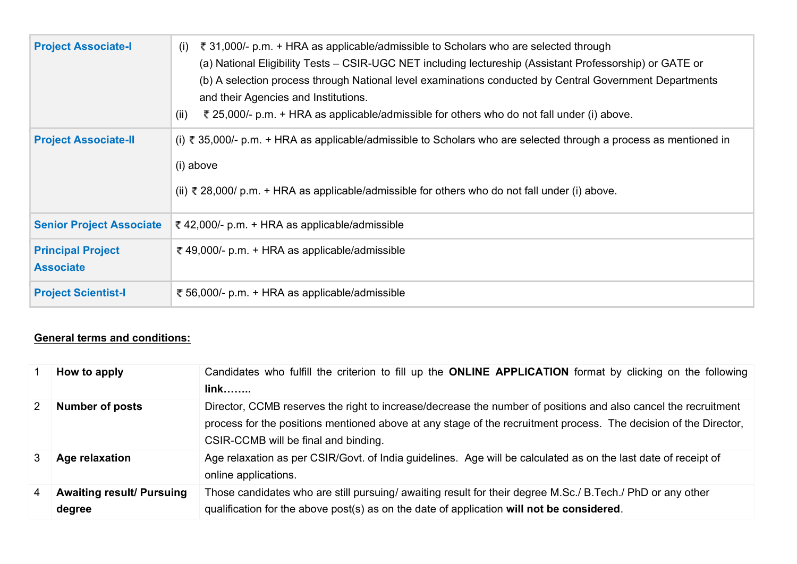| <b>Project Associate-I</b>                   | ₹ 31,000/- p.m. + HRA as applicable/admissible to Scholars who are selected through<br>(i)<br>(a) National Eligibility Tests – CSIR-UGC NET including lectureship (Assistant Professorship) or GATE or<br>(b) A selection process through National level examinations conducted by Central Government Departments<br>and their Agencies and Institutions.<br>₹ 25,000/- p.m. + HRA as applicable/admissible for others who do not fall under (i) above.<br>(ii) |
|----------------------------------------------|-----------------------------------------------------------------------------------------------------------------------------------------------------------------------------------------------------------------------------------------------------------------------------------------------------------------------------------------------------------------------------------------------------------------------------------------------------------------|
| <b>Project Associate-II</b>                  | (i) ₹ 35,000/- p.m. + HRA as applicable/admissible to Scholars who are selected through a process as mentioned in<br>(i) above<br>(ii) ₹ 28,000/ p.m. + HRA as applicable/admissible for others who do not fall under (i) above.                                                                                                                                                                                                                                |
| <b>Senior Project Associate</b>              | ₹ 42,000/- p.m. + HRA as applicable/admissible                                                                                                                                                                                                                                                                                                                                                                                                                  |
| <b>Principal Project</b><br><b>Associate</b> | ₹ 49,000/- p.m. + HRA as applicable/admissible                                                                                                                                                                                                                                                                                                                                                                                                                  |
| <b>Project Scientist-I</b>                   | ₹ 56,000/- p.m. + HRA as applicable/admissible                                                                                                                                                                                                                                                                                                                                                                                                                  |

## **General terms and conditions:**

|               | How to apply                               | Candidates who fulfill the criterion to fill up the ONLINE APPLICATION format by clicking on the following<br>$link$                                                                                                                                                       |
|---------------|--------------------------------------------|----------------------------------------------------------------------------------------------------------------------------------------------------------------------------------------------------------------------------------------------------------------------------|
| $\mathcal{P}$ | <b>Number of posts</b>                     | Director, CCMB reserves the right to increase/decrease the number of positions and also cancel the recruitment<br>process for the positions mentioned above at any stage of the recruitment process. The decision of the Director,<br>CSIR-CCMB will be final and binding. |
| 3             | Age relaxation                             | Age relaxation as per CSIR/Govt. of India guidelines. Age will be calculated as on the last date of receipt of<br>online applications.                                                                                                                                     |
| 4             | <b>Awaiting result/ Pursuing</b><br>degree | Those candidates who are still pursuing/ awaiting result for their degree M.Sc./ B.Tech./ PhD or any other<br>qualification for the above post(s) as on the date of application will not be considered.                                                                    |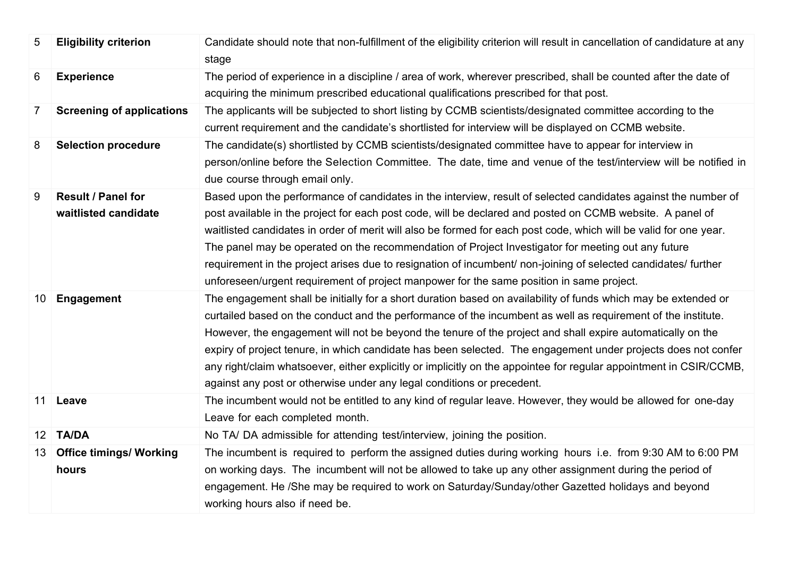| 5               | <b>Eligibility criterion</b>               | Candidate should note that non-fulfillment of the eligibility criterion will result in cancellation of candidature at any<br>stage                                                                                                                                                                                                                                                                                                                                                                                                                                                                                                                                   |
|-----------------|--------------------------------------------|----------------------------------------------------------------------------------------------------------------------------------------------------------------------------------------------------------------------------------------------------------------------------------------------------------------------------------------------------------------------------------------------------------------------------------------------------------------------------------------------------------------------------------------------------------------------------------------------------------------------------------------------------------------------|
| 6               | <b>Experience</b>                          | The period of experience in a discipline / area of work, wherever prescribed, shall be counted after the date of<br>acquiring the minimum prescribed educational qualifications prescribed for that post.                                                                                                                                                                                                                                                                                                                                                                                                                                                            |
| $\overline{7}$  | <b>Screening of applications</b>           | The applicants will be subjected to short listing by CCMB scientists/designated committee according to the<br>current requirement and the candidate's shortlisted for interview will be displayed on CCMB website.                                                                                                                                                                                                                                                                                                                                                                                                                                                   |
| 8               | <b>Selection procedure</b>                 | The candidate(s) shortlisted by CCMB scientists/designated committee have to appear for interview in<br>person/online before the Selection Committee. The date, time and venue of the test/interview will be notified in<br>due course through email only.                                                                                                                                                                                                                                                                                                                                                                                                           |
| 9               | Result / Panel for<br>waitlisted candidate | Based upon the performance of candidates in the interview, result of selected candidates against the number of<br>post available in the project for each post code, will be declared and posted on CCMB website. A panel of<br>waitlisted candidates in order of merit will also be formed for each post code, which will be valid for one year.<br>The panel may be operated on the recommendation of Project Investigator for meeting out any future<br>requirement in the project arises due to resignation of incumbent/ non-joining of selected candidates/ further<br>unforeseen/urgent requirement of project manpower for the same position in same project. |
| 10 <sup>°</sup> | Engagement                                 | The engagement shall be initially for a short duration based on availability of funds which may be extended or<br>curtailed based on the conduct and the performance of the incumbent as well as requirement of the institute.<br>However, the engagement will not be beyond the tenure of the project and shall expire automatically on the<br>expiry of project tenure, in which candidate has been selected. The engagement under projects does not confer<br>any right/claim whatsoever, either explicitly or implicitly on the appointee for regular appointment in CSIR/CCMB,<br>against any post or otherwise under any legal conditions or precedent.        |
| 11 <sup>1</sup> | Leave                                      | The incumbent would not be entitled to any kind of regular leave. However, they would be allowed for one-day<br>Leave for each completed month.                                                                                                                                                                                                                                                                                                                                                                                                                                                                                                                      |
| 12              | <b>TA/DA</b>                               | No TA/DA admissible for attending test/interview, joining the position.                                                                                                                                                                                                                                                                                                                                                                                                                                                                                                                                                                                              |
| 13              | <b>Office timings/ Working</b><br>hours    | The incumbent is required to perform the assigned duties during working hours i.e. from 9:30 AM to 6:00 PM<br>on working days. The incumbent will not be allowed to take up any other assignment during the period of<br>engagement. He /She may be required to work on Saturday/Sunday/other Gazetted holidays and beyond<br>working hours also if need be.                                                                                                                                                                                                                                                                                                         |